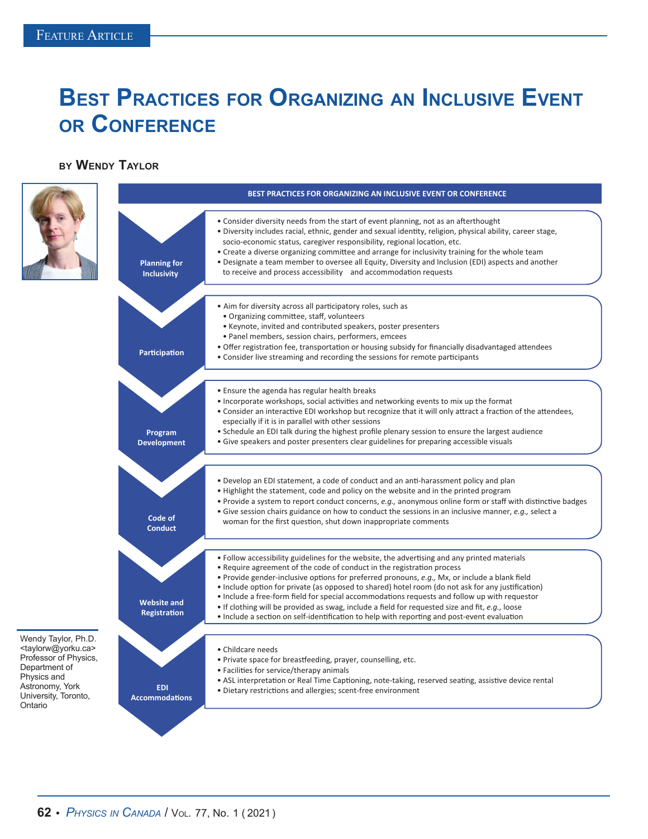## **Best Practices for Organizing an Inclusive Event or Conference**

## **by Wendy Taylor**